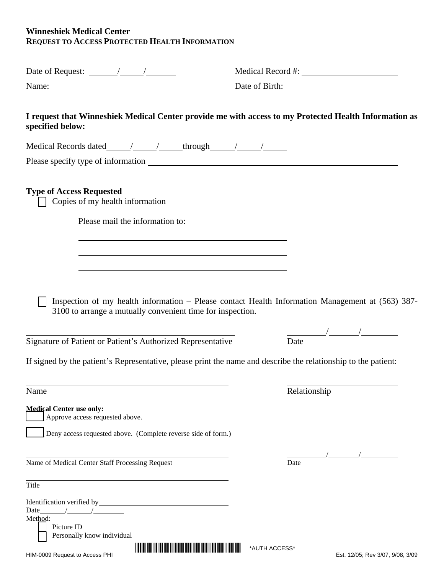## **Winneshiek Medical Center REQUEST TO ACCESS PROTECTED HEALTH INFORMATION**

| Date of Request: $\frac{\sqrt{2\pi}}{2\pi}$                                                                               |                                                                                                  |
|---------------------------------------------------------------------------------------------------------------------------|--------------------------------------------------------------------------------------------------|
| Name: $\frac{1}{2}$ Name:                                                                                                 | Date of Birth: 1988                                                                              |
| I request that Winneshiek Medical Center provide me with access to my Protected Health Information as<br>specified below: |                                                                                                  |
|                                                                                                                           |                                                                                                  |
|                                                                                                                           |                                                                                                  |
| <b>Type of Access Requested</b><br>Copies of my health information                                                        |                                                                                                  |
| Please mail the information to:                                                                                           |                                                                                                  |
|                                                                                                                           |                                                                                                  |
|                                                                                                                           |                                                                                                  |
|                                                                                                                           |                                                                                                  |
| 3100 to arrange a mutually convenient time for inspection.                                                                | Inspection of my health information - Please contact Health Information Management at (563) 387- |
|                                                                                                                           |                                                                                                  |
| Signature of Patient or Patient's Authorized Representative                                                               | Date                                                                                             |
| If signed by the patient's Representative, please print the name and describe the relationship to the patient:            |                                                                                                  |
| <u> 1989 - Andrea Barbara, Amerikaansk politiker (d. 1989)</u>                                                            |                                                                                                  |
| Name                                                                                                                      | Relationship                                                                                     |
| <b>Medical Center use only:</b><br>Approve access requested above.                                                        |                                                                                                  |
| Deny access requested above. (Complete reverse side of form.)                                                             |                                                                                                  |
|                                                                                                                           |                                                                                                  |
| Name of Medical Center Staff Processing Request                                                                           | Date                                                                                             |
| Title                                                                                                                     |                                                                                                  |
| Date<br>$\overline{a}$<br>Method:                                                                                         |                                                                                                  |
| Picture ID<br>Personally know individual                                                                                  |                                                                                                  |
| HIM-0009 Request to Access PHI                                                                                            | *AUTH ACCESS*<br>Est. 12/05; Rev 3/07, 9/08, 3/09                                                |